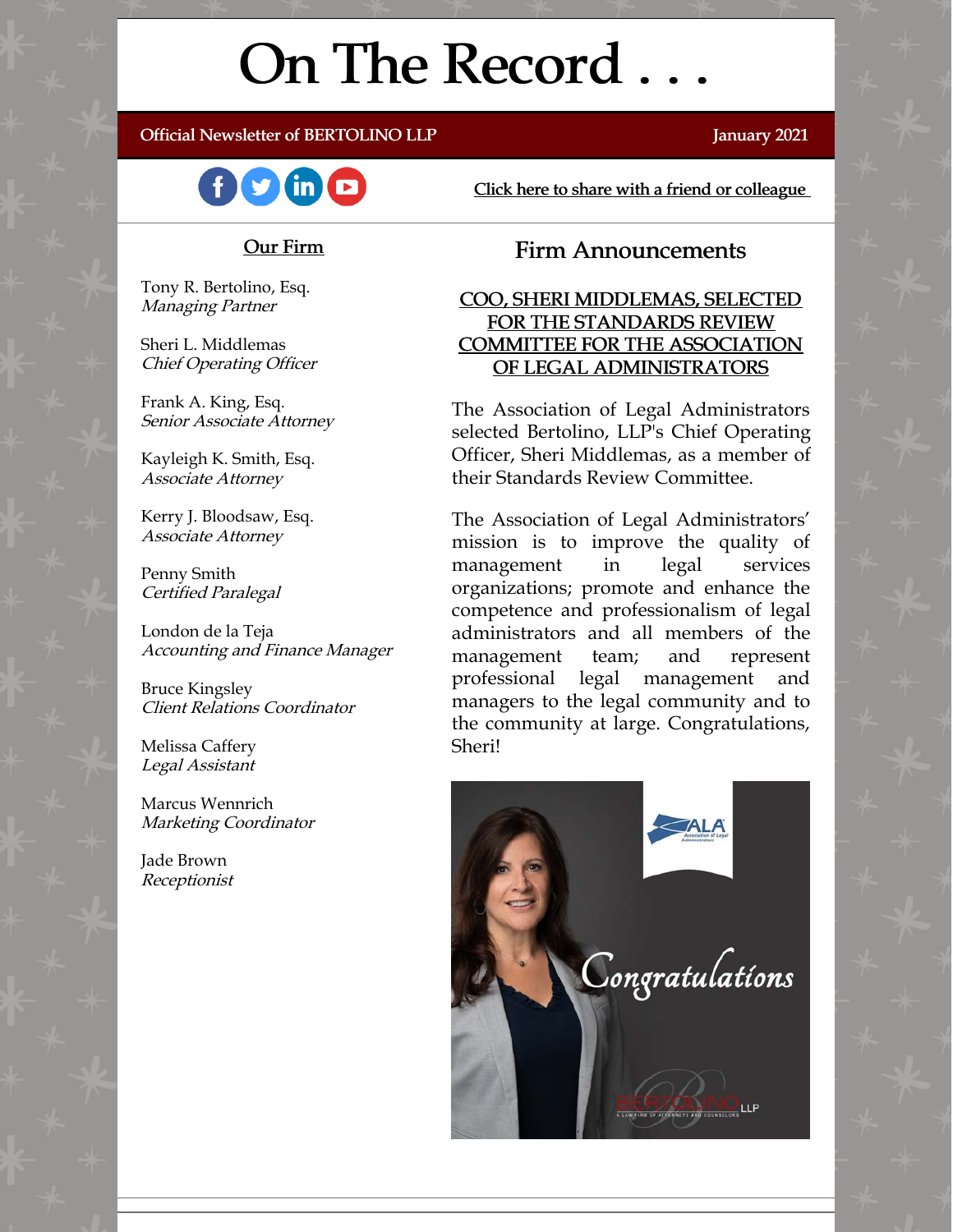# On The Record . . .

#### Official Newsletter of BERTOLINO LLP January 2021



# Click here to share with a friend or colleague

#### Our Firm

Tony R. Bertolino, Esq. Managing Partner

Sheri L. Middlemas Chief Operating Officer

Frank A. King, Esq. Senior Associate Attorney

Kayleigh K. Smith, Esq. Associate Attorney

Kerry J. Bloodsaw, Esq. Associate Attorney

Penny Smith Certified Paralegal

London de la Teja Accounting and Finance Manager

Bruce Kingsley Client Relations Coordinator

Melissa Caffery Legal Assistant

Marcus Wennrich Marketing Coordinator

Jade Brown Receptionist

# Firm Announcements

#### COO, SHERI MIDDLEMAS, SELECTED FOR THE STANDARDS REVIEW COMMITTEE FOR THE ASSOCIATION OF LEGAL ADMINISTRATORS

The Association of Legal Administrators selected Bertolino, LLP's Chief Operating Officer, Sheri Middlemas, as a member of their Standards Review Committee.

The Association of Legal Administrators' mission is to improve the quality of management in legal services organizations; promote and enhance the competence and professionalism of legal administrators and all members of the management team; and represent professional legal management and managers to the legal community and to the community at large. Congratulations, Sheri!

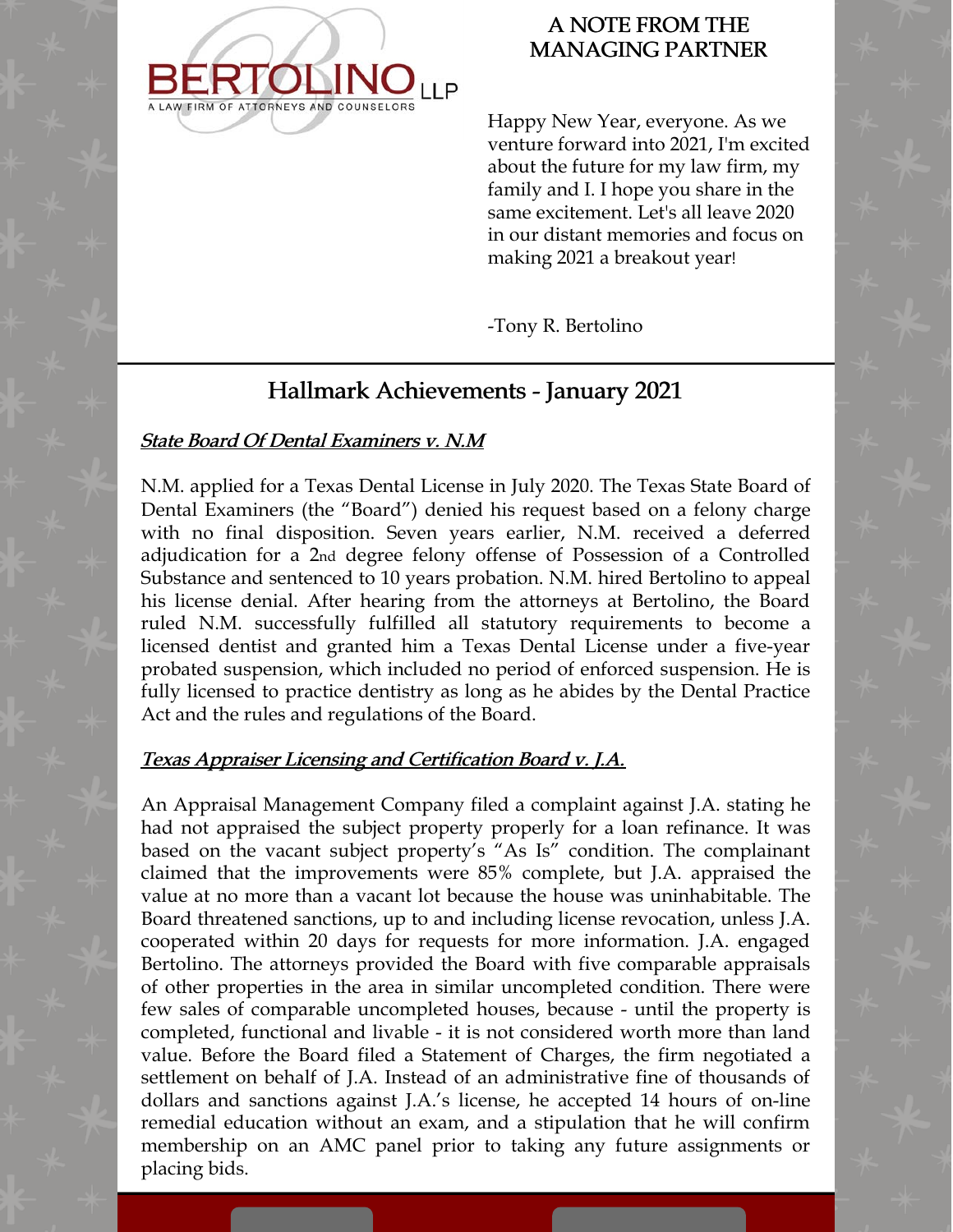

# A NOTE FROM THE MANAGING PARTNER

Happy New Year, everyone. As we venture forward into 2021, I'm excited about the future for my law firm, my family and I. I hope you share in the same excitement. Let's all leave 2020 in our distant memories and focus on making 2021 a breakout year!

-Tony R. Bertolino

# Hallmark Achievements - January 2021

# State Board Of Dental Examiners v. N.M

N.M. applied for a Texas Dental License in July 2020. The Texas State Board of Dental Examiners (the "Board") denied his request based on a felony charge with no final disposition. Seven years earlier, N.M. received a deferred adjudication for a 2nd degree felony offense of Possession of a Controlled Substance and sentenced to 10 years probation. N.M. hired Bertolino to appeal his license denial. After hearing from the attorneys at Bertolino, the Board ruled N.M. successfully fulfilled all statutory requirements to become a licensed dentist and granted him a Texas Dental License under a five-year probated suspension, which included no period of enforced suspension. He is fully licensed to practice dentistry as long as he abides by the Dental Practice Act and the rules and regulations of the Board.

### Texas Appraiser Licensing and Certification Board v. J.A.

An Appraisal Management Company filed a complaint against J.A. stating he had not appraised the subject property properly for a loan refinance. It was based on the vacant subject property's "As Is" condition. The complainant claimed that the improvements were 85% complete, but J.A. appraised the value at no more than a vacant lot because the house was uninhabitable. The Board threatened sanctions, up to and including license revocation, unless J.A. cooperated within 20 days for requests for more information. J.A. engaged Bertolino. The attorneys provided the Board with five comparable appraisals of other properties in the area in similar uncompleted condition. There were few sales of comparable uncompleted houses, because - until the property is completed, functional and livable - it is not considered worth more than land value. Before the Board filed a Statement of Charges, the firm negotiated a settlement on behalf of J.A. Instead of an administrative fine of thousands of dollars and sanctions against J.A.'s license, he accepted 14 hours of on-line remedial education without an exam, and a stipulation that he will confirm membership on an AMC panel prior to taking any future assignments or placing bids.